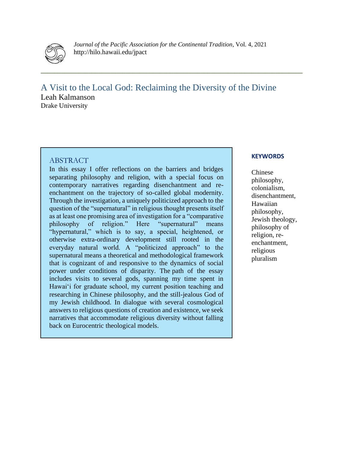

*Journal of the Pacific Association for the Continental Tradition*, Vol. 4, 2021 http://hilo.hawaii.edu/jpact

**\_\_\_\_\_\_\_\_\_\_\_\_\_\_\_\_\_\_\_\_\_\_\_\_\_\_\_\_\_\_\_\_\_\_\_\_\_\_\_\_\_\_\_\_\_\_\_\_\_\_\_\_\_\_\_\_\_\_\_\_\_\_\_\_\_\_\_\_\_\_\_\_\_\_\_\_\_**

A Visit to the Local God: Reclaiming the Diversity of the Divine Leah Kalmanson Drake University

## **ABSTRACT**

In this essay I offer reflections on the barriers and bridges separating philosophy and religion, with a special focus on contemporary narratives regarding disenchantment and reenchantment on the trajectory of so-called global modernity. Through the investigation, a uniquely politicized approach to the question of the "supernatural" in religious thought presents itself as at least one promising area of investigation for a "comparative philosophy of religion." Here "supernatural" means "hypernatural," which is to say, a special, heightened, or otherwise extra-ordinary development still rooted in the everyday natural world. A "politicized approach" to the supernatural means a theoretical and methodological framework that is cognizant of and responsive to the dynamics of social power under conditions of disparity. The path of the essay includes visits to several gods, spanning my time spent in Hawai'i for graduate school, my current position teaching and researching in Chinese philosophy, and the still-jealous God of my Jewish childhood. In dialogue with several cosmological answers to religious questions of creation and existence, we seek narratives that accommodate religious diversity without falling back on Eurocentric theological models.

### **KEYWORDS**

Chinese philosophy, colonialism, disenchantment, Hawaiian philosophy, Jewish theology, philosophy of religion, reenchantment, religious pluralism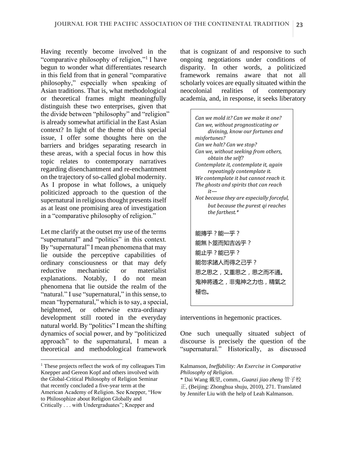Having recently become involved in the "comparative philosophy of religion,"<sup>1</sup> I have begun to wonder what differentiates research in this field from that in general "comparative philosophy," especially when speaking of Asian traditions. That is, what methodological or theoretical frames might meaningfully distinguish these two enterprises, given that the divide between "philosophy" and "religion" is already somewhat artificial in the East Asian context? In light of the theme of this special issue, I offer some thoughts here on the barriers and bridges separating research in these areas, with a special focus in how this topic relates to contemporary narratives regarding disenchantment and re-enchantment on the trajectory of so-called global modernity. As I propose in what follows, a uniquely politicized approach to the question of the supernatural in religious thought presents itself as at least one promising area of investigation in a "comparative philosophy of religion."

Let me clarify at the outset my use of the terms "supernatural" and "politics" in this context. By "supernatural" I mean phenomena that may lie outside the perceptive capabilities of ordinary consciousness or that may defy reductive mechanistic or materialist explanations. Notably, I do not mean phenomena that lie outside the realm of the "natural." I use "supernatural," in this sense, to mean "hypernatural," which is to say, a special, heightened, or otherwise extra-ordinary development still rooted in the everyday natural world. By "politics" I mean the shifting dynamics of social power, and by "politicized approach" to the supernatural, I mean a theoretical and methodological framework

that is cognizant of and responsive to such ongoing negotiations under conditions of disparity. In other words, a politicized framework remains aware that not all scholarly voices are equally situated within the neocolonial realities of contemporary academia, and, in response, it seeks liberatory

> *Can we mold it? Can we make it one? Can we, without prognosticating or divining, know our fortunes and misfortunes? Can we halt? Can we stop? Can we, without seeking from others, obtain the self? Contemplate it, contemplate it, again repeatingly contemplate it. We contemplate it but cannot reach it. The ghosts and spirits that can reach it— Not because they are especially forceful, but because the purest qi reaches the farthest.\**  能摶乎?能一乎? 能無卜筮而知吉凶乎? 能止乎?能已乎? 能勿求諸人而得之己乎? 思之思之,又重思之,思之而不通。 鬼神將通之,非鬼神之力也,精氣之 極也。

interventions in hegemonic practices.

One such unequally situated subject of discourse is precisely the question of the "supernatural." Historically, as discussed

<sup>&</sup>lt;sup>1</sup> These projects reflect the work of my colleagues Tim Knepper and Gereon Kopf and others involved with the Global-Critical Philosophy of Religion Seminar that recently concluded a five-year term at the American Academy of Religion. See Knepper, "How to Philosophize about Religion Globally and Critically . . . with Undergraduates"; Knepper and

Kalmanson, *Ineffability: An Exercise in Comparative Philosophy of Religion*.

<sup>\*</sup> Dai Wang 戴望, comm., *Guanzi jiao zheng* 管子校 正, (Beijing: Zhonghua shuju, 2010), 271. Translated by Jennifer Liu with the help of Leah Kalmanson.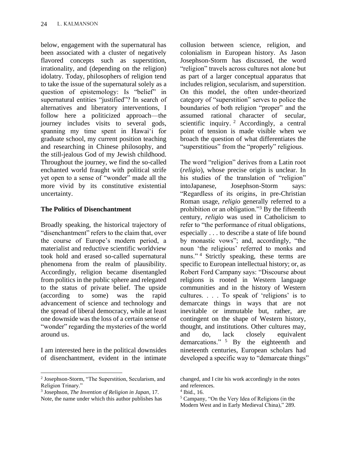below, engagement with the supernatural has been associated with a cluster of negatively flavored concepts such as superstition, irrationality, and (depending on the religion) idolatry. Today, philosophers of religion tend to take the issue of the supernatural solely as a question of epistemology: Is "belief" in supernatural entities "justified"? In search of alternatives and liberatory interventions, I follow here a politicized approach—the journey includes visits to several gods, spanning my time spent in Hawai'i for graduate school, my current position teaching and researching in Chinese philosophy, and the still-jealous God of my Jewish childhood. Throughout the journey, we find the so-called enchanted world fraught with political strife yet open to a sense of "wonder" made all the more vivid by its constitutive existential uncertainty.

## **The Politics of Disenchantment**

Broadly speaking, the historical trajectory of "disenchantment" refers to the claim that, over the course of Europe's modern period, a materialist and reductive scientific worldview took hold and erased so-called supernatural phenomena from the realm of plausibility. Accordingly, religion became disentangled from politics in the public sphere and relegated to the status of private belief. The upside (according to some) was the rapid advancement of science and technology and the spread of liberal democracy, while at least one downside was the loss of a certain sense of "wonder" regarding the mysteries of the world around us.

I am interested here in the political downsides of disenchantment, evident in the intimate collusion between science, religion, and colonialism in European history. As Jason Josephson-Storm has discussed, the word "religion" travels across cultures not alone but as part of a larger conceptual apparatus that includes religion, secularism, and superstition. On this model, the often under-theorized category of "superstition" serves to police the boundaries of both religion "proper" and the assumed rational character of secular, scientific inquiry. <sup>2</sup> Accordingly, a central point of tension is made visible when we broach the question of what differentiates the "superstitious" from the "properly" religious.

The word "religion" derives from a Latin root (*religio*), whose precise origin is unclear. In his studies of the translation of "religion" intoJapanese, Josephson-Storm says: "Regardless of its origins, in pre-Christian Roman usage, *religio* generally referred to a prohibition or an obligation."<sup>3</sup> By the fifteenth century, *religio* was used in Catholicism to refer to "the performance of ritual obligations, especially . . . to describe a state of life bound by monastic vows"; and, accordingly, "the noun 'the religious' referred to monks and nuns."<sup>4</sup> Strictly speaking, these terms are specific to European intellectual history; or, as Robert Ford Campany says: "Discourse about religions is rooted in Western language communities and in the history of Western cultures. . . . To speak of 'religions' is to demarcate things in ways that are not inevitable or immutable but, rather, are contingent on the shape of Western history, thought, and institutions. Other cultures may, and do, lack closely equivalent demarcations." <sup>5</sup> By the eighteenth and nineteenth centuries, European scholars had developed a specific way to "demarcate things"

<sup>2</sup> Josephson-Storm, "The Superstition, Secularism, and Religion Trinary."

<sup>3</sup> Josephson, *The Invention of Religion in Japan*, 17. Note, the name under which this author publishes has

changed, and I cite his work accordingly in the notes and references.

<sup>4</sup> Ibid., 16.

<sup>5</sup> Campany, "On the Very Idea of Religions (in the Modern West and in Early Medieval China)," 289.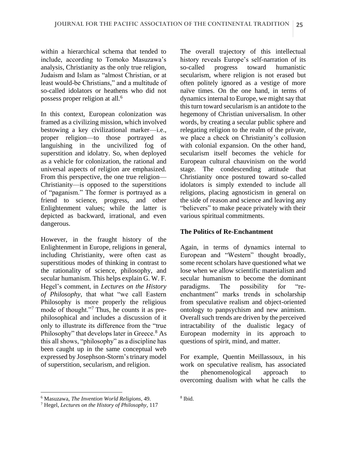within a hierarchical schema that tended to include, according to Tomoko Masuzawa's analysis, Christianity as the only true religion, Judaism and Islam as "almost Christian, or at least would-be Christians," and a multitude of so-called idolators or heathens who did not possess proper religion at all.<sup>6</sup>

In this context, European colonization was framed as a civilizing mission, which involved bestowing a key civilizational marker—i.e., proper religion—to those portrayed as languishing in the uncivilized fog of superstition and idolatry. So, when deployed as a vehicle for colonization, the rational and universal aspects of religion are emphasized. From this perspective, the one true religion— Christianity—is opposed to the superstitions of "paganism." The former is portrayed as a friend to science, progress, and other Enlightenment values; while the latter is depicted as backward, irrational, and even dangerous.

However, in the fraught history of the Enlightenment in Europe, religions in general, including Christianity, were often cast as superstitious modes of thinking in contrast to the rationality of science, philosophy, and secular humanism. This helps explain G. W. F. Hegel's comment, in *Lectures on the History of Philosophy*, that what "we call Eastern Philosophy is more properly the religious mode of thought."<sup>7</sup> Thus, he counts it as prephilosophical and includes a discussion of it only to illustrate its difference from the "true Philosophy" that develops later in Greece.<sup>8</sup> As this all shows, "philosophy" as a discipline has been caught up in the same conceptual web expressed by Josephson-Storm's trinary model of superstition, secularism, and religion.

The overall trajectory of this intellectual history reveals Europe's self-narration of its so-called progress toward humanistic secularism, where religion is not erased but often politely ignored as a vestige of more naïve times. On the one hand, in terms of dynamics internal to Europe, we might say that this turn toward secularism is an antidote to the hegemony of Christian universalism. In other words, by creating a secular public sphere and relegating religion to the realm of the private, we place a check on Christianity's collusion with colonial expansion. On the other hand, secularism itself becomes the vehicle for European cultural chauvinism on the world stage. The condescending attitude that Christianity once postured toward so-called idolators is simply extended to include all religions, placing agnosticism in general on the side of reason and science and leaving any "believers" to make peace privately with their various spiritual commitments.

## **The Politics of Re-Enchantment**

Again, in terms of dynamics internal to European and "Western" thought broadly, some recent scholars have questioned what we lose when we allow scientific materialism and secular humanism to become the dominant paradigms. The possibility for "reenchantment" marks trends in scholarship from speculative realism and object-oriented ontology to panpsychism and new animism. Overall such trends are driven by the perceived intractability of the dualistic legacy of European modernity in its approach to questions of spirit, mind, and matter.

For example, Quentin Meillassoux, in his work on speculative realism, has associated the phenomenological approach to overcoming dualism with what he calls the

<sup>6</sup> Masuzawa, *The Invention World Religions*, 49.

<sup>7</sup> Hegel, *Lectures on the History of Philosophy*, 117

<sup>8</sup> Ibid.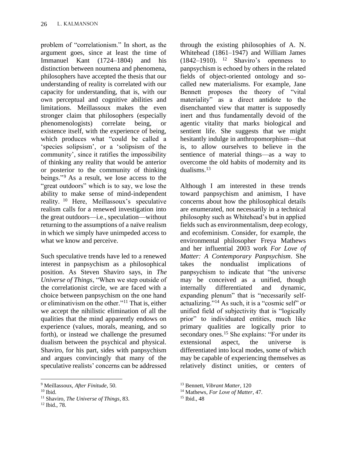problem of "correlationism." In short, as the argument goes, since at least the time of Immanuel Kant (1724–1804) and his distinction between noumena and phenomena, philosophers have accepted the thesis that our understanding of reality is correlated with our capacity for understanding, that is, with our own perceptual and cognitive abilities and limitations. Meillassoux makes the even stronger claim that philosophers (especially phenomenologists) correlate being, or existence itself, with the experience of being, which produces what "could be called a 'species solipsism', or a 'solipsism of the community', since it ratifies the impossibility of thinking any reality that would be anterior or posterior to the community of thinking beings."<sup>9</sup> As a result, we lose access to the "great outdoors" which is to say, we lose the ability to make sense of mind-independent reality. <sup>10</sup> Here, Meillassoux's speculative realism calls for a renewed investigation into the great outdoors—i.e., speculation—without returning to the assumptions of a naïve realism in which we simply have unimpeded access to what we know and perceive.

Such speculative trends have led to a renewed interest in panpsychism as a philosophical position. As Steven Shaviro says, in *The Universe of Things*, "When we step outside of the correlationist circle, we are faced with a choice between panpsychism on the one hand or eliminativism on the other."<sup>11</sup> That is, either we accept the nihilistic elimination of all the qualities that the mind apparently endows on experience (values, morals, meaning, and so forth), or instead we challenge the presumed dualism between the psychical and physical. Shaviro, for his part, sides with panpsychism and argues convincingly that many of the speculative realists' concerns can be addressed

through the existing philosophies of A. N. Whitehead (1861–1947) and William James  $(1842-1910)$ . <sup>12</sup> Shaviro's openness to panpsychism is echoed by others in the related fields of object-oriented ontology and socalled new materialisms. For example, Jane Bennett proposes the theory of "vital materiality" as a direct antidote to the disenchanted view that matter is supposedly inert and thus fundamentally devoid of the agentic vitality that marks biological and sentient life. She suggests that we might hesitantly indulge in anthropomorphism—that is, to allow ourselves to believe in the sentience of material things—as a way to overcome the old habits of modernity and its dualisms.<sup>13</sup>

Although I am interested in these trends toward panpsychism and animism, I have concerns about how the philosophical details are enumerated, not necessarily in a technical philosophy such as Whitehead's but in applied fields such as environmentalism, deep ecology, and ecofeminism. Consider, for example, the environmental philosopher Freya Mathews and her influential 2003 work *For Love of Matter: A Contemporary Panpsychism*. She takes the nondualist implications of panpsychism to indicate that "the universe may be conceived as a unified, though internally differentiated and dynamic, expanding plenum" that is "necessarily selfactualizing."<sup>14</sup> As such, it is a "cosmic self" or unified field of subjectivity that is "logically prior" to individuated entities, much like primary qualities are logically prior to secondary ones.<sup>15</sup> She explains: "For under its extensional aspect, the universe is differentiated into local modes, some of which may be capable of experiencing themselves as relatively distinct unities, or centers of

<sup>9</sup> Meillassoux, *After Finitude*, 50.

 $10$  Ibid.

<sup>11</sup> Shaviro, *The Universe of Things*, 83.

<sup>12</sup> Ibid., 78.

<sup>13</sup> Bennett, *Vibrant Matter*, 120

<sup>14</sup> Mathews, *For Love of Matter*, 47.

<sup>15</sup> Ibid., 48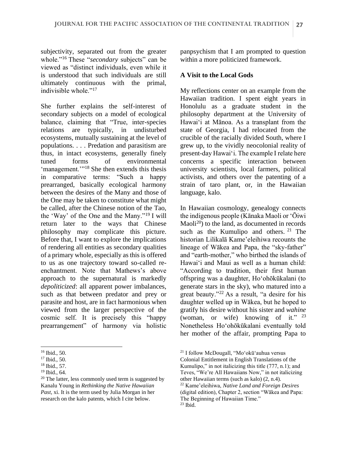subjectivity, separated out from the greater whole."<sup>16</sup> These "*secondary* subjects" can be viewed as "distinct individuals, even while it is understood that such individuals are still ultimately continuous with the primal, indivisible whole."<sup>17</sup>

She further explains the self-interest of secondary subjects on a model of ecological balance, claiming that "True, inter-species relations are typically, in undisturbed ecosystems, mutually sustaining at the level of populations. . . . Predation and parasitism are thus, in intact ecosystems, generally finely tuned forms of environmental 'management.'"<sup>18</sup> She then extends this thesis in comparative terms: "Such a happy prearranged, basically ecological harmony between the desires of the Many and those of the One may be taken to constitute what might be called, after the Chinese notion of the Tao, the 'Way' of the One and the Many."<sup>19</sup> I will return later to the ways that Chinese philosophy may complicate this picture. Before that, I want to explore the implications of rendering all entities as secondary qualities of a primary whole, especially as this is offered to us as one trajectory toward so-called reenchantment. Note that Mathews's above approach to the supernatural is markedly *depoliticized*: all apparent power imbalances, such as that between predator and prey or parasite and host, are in fact harmonious when viewed from the larger perspective of the cosmic self. It is precisely this "happy prearrangement" of harmony via holistic

panpsychism that I am prompted to question within a more politicized framework.

#### **A Visit to the Local Gods**

My reflections center on an example from the Hawaiian tradition. I spent eight years in Honolulu as a graduate student in the philosophy department at the University of Hawai'i at Mānoa. As a transplant from the state of Georgia, I had relocated from the crucible of the racially divided South, where I grew up, to the vividly neocolonial reality of present-day Hawai'i. The example I relate here concerns a specific interaction between university scientists, local farmers, political activists, and others over the patenting of a strain of taro plant, or, in the Hawaiian language, kalo.

In Hawaiian cosmology, genealogy connects the indigenous people (Kānaka Maoli or ʻŌiwi Maoli<sup>20</sup>) to the land, as documented in records such as the Kumulipo and others.  $21$  The historian Lilikalā Kame'eleihiwa recounts the lineage of Wākea and Papa, the "sky-father" and "earth-mother," who birthed the islands of Hawaiʻi and Maui as well as a human child: "According to tradition, their first human offspring was a daughter, Ho'ohōkūkalani (to generate stars in the sky), who matured into a great beauty."<sup>22</sup> As a result, "a desire for his daughter welled up in Wākea, but he hoped to gratify his desire without his sister and *wahine* (woman, or wife) knowing of it." <sup>23</sup> Nonetheless Ho'ohōkūkalani eventually told her mother of the affair, prompting Papa to

<sup>16</sup> Ibid., 50.

<sup>17</sup> Ibid., 50.

<sup>18</sup> Ibid., 57.

<sup>19</sup> Ibid., 64.

<sup>&</sup>lt;sup>20</sup> The latter, less commonly used term is suggested by Kanalu Young in *Rethinking the Native Hawaiian Past*, xi. It is the term used by Julia Morgan in her research on the kalo patents, which I cite below.

<sup>21</sup> I follow McDougall, "Mo'okū'auhua versus Colonial Entitlement in English Translations of the Kumulipo," in not italicizing this title (777, n.1); and

Teves, "We're All Hawaiians Now," in not italicizing other Hawaiian terms (such as kalo) (2, n.4).

<sup>22</sup> Kame'eleihiwa, *Native Land and Foreign Desires* (digital edition), Chapter 2, section "Wākea and Papa: The Beginning of Hawaiian Time."

 $23$  Ibid.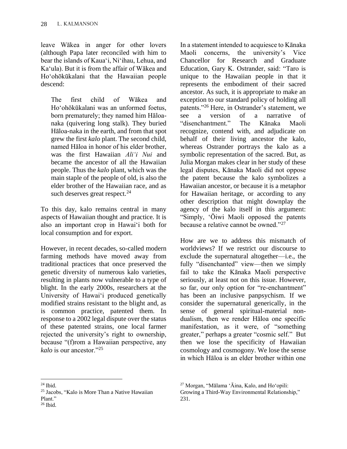leave Wākea in anger for other lovers (although Papa later reconciled with him to bear the islands of Kaua'i, Ni'ihau, Lehua, and Ka'ula). But it is from the affair of Wākea and Ho'ohōkūkalani that the Hawaiian people descend:

The first child of Wākea and Ho'ohōkūkalani was an unformed foetus, born prematurely; they named him Hāloanaka (quivering long stalk). They buried Hāloa-naka in the earth, and from that spot grew the first *kalo* plant. The second child, named Hāloa in honor of his elder brother, was the first Hawaiian *Ali'i Nui* and became the ancestor of all the Hawaiian people. Thus the *kalo* plant, which was the main staple of the people of old, is also the elder brother of the Hawaiian race, and as such deserves great respect.<sup>24</sup>

To this day, kalo remains central in many aspects of Hawaiian thought and practice. It is also an important crop in Hawai'i both for local consumption and for export.

However, in recent decades, so-called modern farming methods have moved away from traditional practices that once preserved the genetic diversity of numerous kalo varieties, resulting in plants now vulnerable to a type of blight. In the early 2000s, researchers at the University of Hawai'i produced genetically modified strains resistant to the blight and, as is common practice, patented them. In response to a 2002 legal dispute over the status of these patented strains, one local farmer rejected the university's right to ownership, because "(f)rom a Hawaiian perspective, any *kalo* is our ancestor."<sup>25</sup>

In a statement intended to acquiesce to Kānaka Maoli concerns, the university's Vice Chancellor for Research and Graduate Education, Gary K. Ostrander, said: "Taro is unique to the Hawaiian people in that it represents the embodiment of their sacred ancestor. As such, it is appropriate to make an exception to our standard policy of holding all patents."<sup>26</sup> Here, in Ostrander's statement, we see a version of a narrative of "disenchantment." The Kānaka Maoli recognize, contend with, and adjudicate on behalf of their living ancestor the kalo, whereas Ostrander portrays the kalo as a symbolic representation of the sacred. But, as Julia Morgan makes clear in her study of these legal disputes, Kānaka Maoli did not oppose the patent because the kalo symbolizes a Hawaiian ancestor, or because it is a metaphor for Hawaiian heritage, or according to any other description that might downplay the agency of the kalo itself in this argument: "Simply, ʻŌiwi Maoli opposed the patents because a relative cannot be owned."<sup>27</sup>

How are we to address this mismatch of worldviews? If we restrict our discourse to exclude the supernatural altogether—i.e., the fully "disenchanted" view—then we simply fail to take the Kānaka Maoli perspective seriously, at least not on this issue. However, so far, our only option for "re-enchantment" has been an inclusive panpsychism. If we consider the supernatural generically, in the sense of general spiritual-material nondualism, then we render Hāloa one specific manifestation, as it were, of "something greater," perhaps a greater "cosmic self." But then we lose the specificity of Hawaiian cosmology and cosmogony. We lose the sense in which Hāloa is an elder brother within one

 $^{24}$  Ibid.

<sup>25</sup> Jacobs, "Kalo is More Than a Native Hawaiian Plant." <sup>26</sup> Ibid.

<sup>27</sup> Morgan, "Mālama 'Āina, Kalo, and Ho'opili:

Growing a Third-Way Environmental Relationship," 231.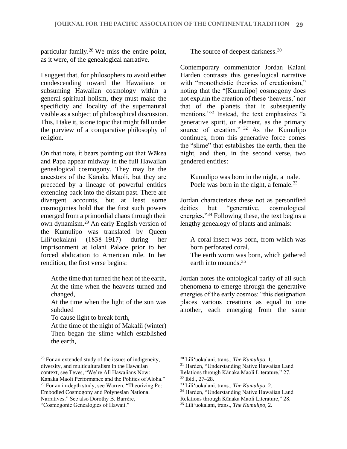particular family.<sup>28</sup> We miss the entire point, as it were, of the genealogical narrative.

I suggest that, for philosophers to avoid either condescending toward the Hawaiians or subsuming Hawaiian cosmology within a general spiritual holism, they must make the specificity and locality of the supernatural visible as a subject of philosophical discussion. This, I take it, is one topic that might fall under the purview of a comparative philosophy of religion.

On that note, it bears pointing out that Wākea and Papa appear midway in the full Hawaiian genealogical cosmogony. They may be the ancestors of the Kānaka Maoli, but they are preceded by a lineage of powerful entities extending back into the distant past. There are divergent accounts, but at least some cosmogonies hold that the first such powers emerged from a primordial chaos through their own dynamism.<sup>29</sup> An early English version of the Kumulipo was translated by Queen Lili'uokalani (1838–1917) during her imprisonment at Iolani Palace prior to her forced abdication to American rule. In her rendition, the first verse begins:

At the time that turned the heat of the earth, At the time when the heavens turned and changed,

At the time when the light of the sun was subdued

To cause light to break forth,

At the time of the night of Makalii (winter) Then began the slime which established the earth,

"Cosmogonic Genealogies of Hawaii."

The source of deepest darkness.<sup>30</sup>

Contemporary commentator Jordan Kalani Harden contrasts this genealogical narrative with "monotheistic theories of creationism." noting that the "[Kumulipo] cosmogony does not explain the creation of these 'heavens,' nor that of the planets that it subsequently mentions."<sup>31</sup> Instead, the text emphasizes "a generative spirit, or element, as the primary source of creation." <sup>32</sup> As the Kumulipo continues, from this generative force comes the "slime" that establishes the earth, then the night, and then, in the second verse, two gendered entities:

Kumulipo was born in the night, a male. Poele was born in the night, a female.<sup>33</sup>

Jordan characterizes these not as personified deities but "generative, cosmological energies."<sup>34</sup> Following these, the text begins a lengthy genealogy of plants and animals:

A coral insect was born, from which was born perforated coral.

The earth worm was born, which gathered earth into mounds.<sup>35</sup>

Jordan notes the ontological parity of all such phenomena to emerge through the generative energies of the early cosmos: "this designation places various creations as equal to one another, each emerging from the same

<sup>28</sup> For an extended study of the issues of indigeneity, diversity, and multiculturalism in the Hawaiian context, see Teves, "We're All Hawaiians Now: Kanaka Maoli Performance and the Politics of Aloha."  $29$  For an in-depth study, see Warren, "Theorizing Pō: Embodied Cosmogony and Polynesian National Narratives." See also Dorothy B. Barrère,

<sup>30</sup> Lili'uokalani, trans., *The Kumulipo*, 1.

<sup>&</sup>lt;sup>31</sup> Harden, "Understanding Native Hawaiian Land Relations through Kānaka Maoli Literature," 27.

<sup>32</sup> Ibid., 27–28.

<sup>33</sup> Lili'uokalani, trans., *The Kumulipo*, 2.

<sup>34</sup> Harden, "Understanding Native Hawaiian Land

Relations through Kānaka Maoli Literature," 28.

<sup>35</sup> Lili'uokalani, trans., *The Kumulipo*, 2.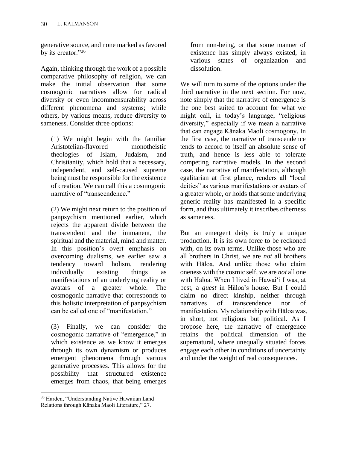generative source, and none marked as favored by its creator."<sup>36</sup>

Again, thinking through the work of a possible comparative philosophy of religion, we can make the initial observation that some cosmogonic narratives allow for radical diversity or even incommensurability across different phenomena and systems; while others, by various means, reduce diversity to sameness. Consider three options:

(1) We might begin with the familiar Aristotelian-flavored monotheistic theologies of Islam, Judaism, and Christianity, which hold that a necessary, independent, and self-caused supreme being must be responsible for the existence of creation. We can call this a cosmogonic narrative of "transcendence."

(2) We might next return to the position of panpsychism mentioned earlier, which rejects the apparent divide between the transcendent and the immanent, the spiritual and the material, mind and matter. In this position's overt emphasis on overcoming dualisms, we earlier saw a tendency toward holism, rendering individually existing things as manifestations of an underlying reality or avatars of a greater whole. The cosmogonic narrative that corresponds to this holistic interpretation of panpsychism can be called one of "manifestation."

(3) Finally, we can consider the cosmogonic narrative of "emergence," in which existence as we know it emerges through its own dynamism or produces emergent phenomena through various generative processes. This allows for the possibility that structured existence emerges from chaos, that being emerges

from non-being, or that some manner of existence has simply always existed, in various states of organization and dissolution.

We will turn to some of the options under the third narrative in the next section. For now, note simply that the narrative of emergence is the one best suited to account for what we might call, in today's language, "religious diversity," especially if we mean a narrative that can engage Kānaka Maoli cosmogony. In the first case, the narrative of transcendence tends to accord to itself an absolute sense of truth, and hence is less able to tolerate competing narrative models. In the second case, the narrative of manifestation, although egalitarian at first glance, renders all "local deities" as various manifestations or avatars of a greater whole, or holds that some underlying generic reality has manifested in a specific form, and thus ultimately it inscribes otherness as sameness.

But an emergent deity is truly a unique production. It is its own force to be reckoned with, on its own terms. Unlike those who are all brothers in Christ, we are *not* all brothers with Hāloa. And unlike those who claim oneness with the cosmic self, we are *not* all one with Hāloa. When I lived in Hawai'i I was, at best, a *guest* in Hāloa's house. But I could claim no direct kinship, neither through narratives of transcendence nor of manifestation. My relationship with Hāloa was, in short, not religious but political. As I propose here, the narrative of emergence retains the political dimension of the supernatural, where unequally situated forces engage each other in conditions of uncertainty and under the weight of real consequences.

<sup>36</sup> Harden, "Understanding Native Hawaiian Land Relations through Kānaka Maoli Literature," 27.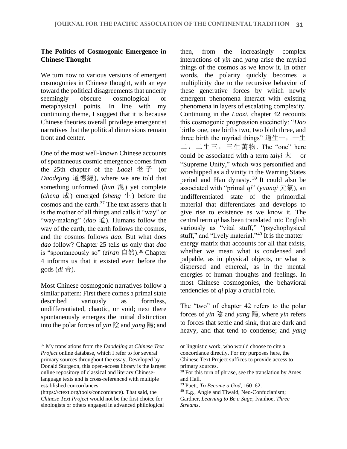## **The Politics of Cosmogonic Emergence in Chinese Thought**

We turn now to various versions of emergent cosmogonies in Chinese thought, with an eye toward the political disagreements that underly seemingly obscure cosmological or metaphysical points. In line with my continuing theme, I suggest that it is because Chinese theories overall privilege emergentist narratives that the political dimensions remain front and center.

One of the most well-known Chinese accounts of spontaneous cosmic emergence comes from the 25th chapter of the *Laozi* 老 子 (or *Daodejing* 道德經), where we are told that something unformed (*hun* 混) yet complete (*cheng* 成) emerged (*sheng* 生) before the cosmos and the earth.<sup>37</sup> The text asserts that it is the mother of all things and calls it "way" or "way-making" (*dao* 道). Humans follow the way of the earth, the earth follows the cosmos. and the cosmos follows *dao*. But what does *dao* follow? Chapter 25 tells us only that *dao* is "spontaneously so" (*ziran* 自然).<sup>38</sup> Chapter 4 informs us that it existed even before the gods (*di* 帝).

Most Chinese cosmogonic narratives follow a similar pattern: First there comes a primal state described variously as formless, undifferentiated, chaotic, or void; next there spontaneously emerges the initial distinction into the polar forces of *yin* 陰 and *yang* 陽; and

then, from the increasingly complex interactions of *yin* and *yang* arise the myriad things of the cosmos as we know it. In other words, the polarity quickly becomes a multiplicity due to the recursive behavior of these generative forces by which newly emergent phenomena interact with existing phenomena in layers of escalating complexity. Continuing in the *Laozi*, chapter 42 recounts this cosmogonic progression succinctly: "*Dao* births one, one births two, two birth three, and three birth the myriad things" 道生一,一生 二,二生三,三生萬物. The "one" here could be associated with a term *taiyi* 太一 or "Supreme Unity," which was personified and worshipped as a divinity in the Warring States period and Han dynasty. <sup>39</sup> It could also be associated with "primal *qi*" (*yuanqi* 元氣), an undifferentiated state of the primordial material that differentiates and develops to give rise to existence as we know it. The central term *qi* has been translated into English variously as "vital stuff," "psychophysical stuff," and "lively material."<sup>40</sup> It is the matterenergy matrix that accounts for all that exists, whether we mean what is condensed and palpable, as in physical objects, or what is dispersed and ethereal, as in the mental energies of human thoughts and feelings. In most Chinese cosmogonies, the behavioral tendencies of *qi* play a crucial role.

The "two" of chapter 42 refers to the polar forces of *yin* 陰 and *yang* 陽, where *yin* refers to forces that settle and sink, that are dark and heavy, and that tend to condense; and *yang*

<sup>37</sup> My translations from the *Daodejing* at *Chinese Text Project* online database, which I refer to for several primary sources throughout the essay. Developed by Donald Sturgeon, this open-access library is the largest online repository of classical and literary Chineselanguage texts and is cross-referenced with multiple established concordances

<sup>(</sup>https://ctext.org/tools/concordance). That said, the *Chinese Text Project* would not be the first choice for sinologists or others engaged in advanced philological

or linguistic work, who would choose to cite a concordance directly. For my purposes here, the Chinese Text Project suffices to provide access to primary sources.

<sup>38</sup> For this turn of phrase, see the translation by Ames and Hall.

<sup>39</sup> Puett, *To Become a God*, 160–62.

<sup>40</sup> E.g., Angle and Tiwald, Neo-Confucianism; Gardner, *Learning to Be a Sage*; Ivanhoe, *Three Streams*.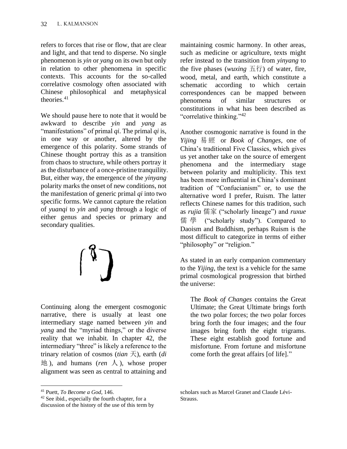refers to forces that rise or flow, that are clear and light, and that tend to disperse. No single phenomenon is *yin* or *yang* on its own but only in relation to other phenomena in specific contexts. This accounts for the so-called correlative cosmology often associated with Chinese philosophical and metaphysical theories.<sup>41</sup>

We should pause here to note that it would be awkward to describe *yin* and *yang* as "manifestations" of primal *qi*. The primal *qi* is, in one way or another, altered by the emergence of this polarity. Some strands of Chinese thought portray this as a transition from chaos to structure, while others portray it as the disturbance of a once-pristine tranquility. But, either way, the emergence of the *yinyang* polarity marks the onset of new conditions, not the manifestation of generic primal *qi* into two specific forms. We cannot capture the relation of *yuanqi* to *yin* and *yang* through a logic of either genus and species or primary and secondary qualities.



Continuing along the emergent cosmogonic narrative, there is usually at least one intermediary stage named between *yin* and *yang* and the "myriad things," or the diverse reality that we inhabit. In chapter 42, the intermediary "three" is likely a reference to the trinary relation of cosmos (*tian* 天), earth (*di*  $#$ ), and humans (*ren*  $\lambda$ ), whose proper alignment was seen as central to attaining and maintaining cosmic harmony. In other areas, such as medicine or agriculture, texts might refer instead to the transition from *yinyang* to the five phases (*wuxing*  $\overline{A}$  $\overline{A}$ ) of water, fire, wood, metal, and earth, which constitute a schematic according to which certain correspondences can be mapped between phenomena of similar structures or constitutions in what has been described as "correlative thinking."<sup>42</sup>

Another cosmogonic narrative is found in the *Yijing* 易 經 or *Book of Changes*, one of China's traditional Five Classics, which gives us yet another take on the source of emergent phenomena and the intermediary stage between polarity and multiplicity. This text has been more influential in China's dominant tradition of "Confucianism" or, to use the alternative word I prefer, Ruism. The latter reflects Chinese names for this tradition, such as *rujia* 儒家 ("scholarly lineage") and *ruxue* 儒 學 ("scholarly study"). Compared to Daoism and Buddhism, perhaps Ruism is the most difficult to categorize in terms of either "philosophy" or "religion."

As stated in an early companion commentary to the *Yijing*, the text is a vehicle for the same primal cosmological progression that birthed the universe:

The *Book of Changes* contains the Great Ultimate; the Great Ultimate brings forth the two polar forces; the two polar forces bring forth the four images; and the four images bring forth the eight trigrams. These eight establish good fortune and misfortune. From fortune and misfortune come forth the great affairs [of life]."

<sup>41</sup> Puett, *To Become a God*, 146.

<sup>&</sup>lt;sup>42</sup> See ibid., especially the fourth chapter, for a discussion of the history of the use of this term by

scholars such as Marcel Granet and Claude Lévi-Strauss.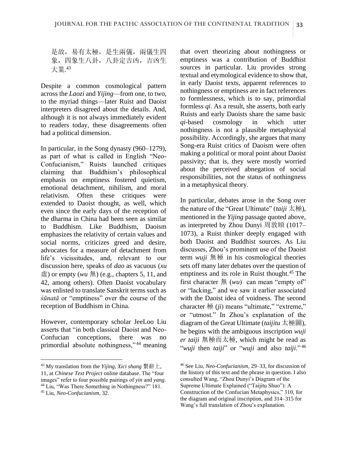是故,易有太極,是生兩儀,兩儀生四 象,四象生八卦,八卦定吉凶,吉凶生 大業. 43

Despite a common cosmological pattern across the *Laozi* and *Yijing*—from one, to two, to the myriad things—later Ruist and Daoist interpreters disagreed about the details. And, although it is not always immediately evident to readers today, these disagreements often had a political dimension.

In particular, in the Song dynasty (960–1279), as part of what is called in English "Neo-Confucianism," Ruists launched critiques claiming that Buddhism's philosophical emphasis on emptiness fostered quietism, emotional detachment, nihilism, and moral relativism. Often these critiques were extended to Daoist thought, as well, which even since the early days of the reception of the dharma in China had been seen as similar to Buddhism. Like Buddhism, Daoism emphasizes the relativity of certain values and social norms, criticizes greed and desire, advocates for a measure of detachment from life's vicissitudes, and, relevant to our discussion here, speaks of *dao* as vacuous (*xu* 虛) or empty (*wu* 無) (e.g., chapters 5, 11, and 42, among others). Often Daoist vocabulary was enlisted to translate Sanskrit terms such as *śūnatā* or "emptiness" over the course of the reception of Buddhism in China.

However, contemporary scholar JeeLoo Liu asserts that "in both classical Daoist and Neo-Confucian conceptions, there was no primordial absolute nothingness," <sup>44</sup> meaning that overt theorizing about nothingness or emptiness was a contribution of Buddhist sources in particular. Liu provides strong textual and etymological evidence to show that, in early Daoist texts, apparent references to nothingness or emptiness are in fact references to formlessness, which is to say, primordial formless *qi*. As a result, she asserts, both early Ruists and early Daoists share the same basic *qi*-based cosmology in which utter nothingness is not a plausible metaphysical possibility. Accordingly, she argues that many Song-era Ruist critics of Daoism were often making a political or moral point about Daoist passivity; that is, they were mostly worried about the perceived abnegation of social responsibilities, not the status of nothingness in a metaphysical theory.

In particular, debates arose in the Song over the nature of the "Great Ultimate" (*taiji* 太極), mentioned in the *Yijing* passage quoted above, as interpreted by Zhou Dunyi 周敦頤 (1017– 1073), a Ruist thinker deeply engaged with both Daoist and Buddhist sources. As Liu discusses, Zhou's prominent use of the Daoist term *wuji* 無極 in his cosmological theories sets off many later debates over the question of emptiness and its role in Ruist thought.<sup>45</sup> The first character 無 (*wu*) can mean "empty of" or "lacking," and we saw it earlier associated with the Daoist idea of voidness. The second character 極 (*ji*) means "ultimate," "extreme," or "utmost." In Zhou's explanation of the diagram of the Great Ultimate (*taijitu* 太極圖), he begins with the ambiguous inscription *wuji er taiji* 無極而太極, which might be read as "*wuji* then *taiji*" or "*wuji* and also *taiji*." <sup>46</sup>

<sup>43</sup> My translation from the *Yijing*, *Xici shang* 繫辭上,

<sup>11,</sup> at *Chinese Text Project* online database. The "four images" refer to four possible pairings of *yin* and *yang*. <sup>44</sup> Liu, "Was There Something in Nothingness?" 181.

<sup>45</sup> Liu, *Neo-Confucianism*, 32.

<sup>46</sup> See Liu, *Neo-Confucianism*, 29–33, for discussion of the history of this text and the phrase in question. I also consulted Wang, "Zhou Dunyi's Diagram of the Supreme Ultimate Explained ("Taijitu Shuo"): A Construction of the Confucian Metaphysics," 310, for the diagram and original inscription, and 314–315 for Wang's full translation of Zhou's explanation.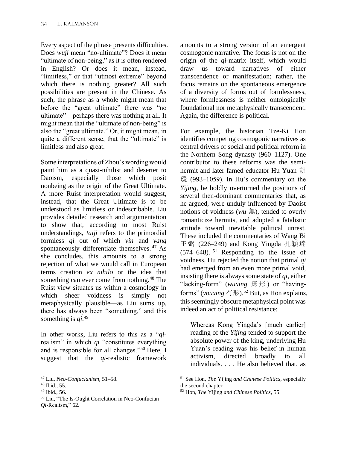Every aspect of the phrase presents difficulties. Does *wuji* mean "no-ultimate"? Does it mean "ultimate of non-being," as it is often rendered in English? Or does it mean, instead, "limitless," or that "utmost extreme" beyond which there is nothing greater? All such possibilities are present in the Chinese. As such, the phrase as a whole might mean that before the "great ultimate" there was "no ultimate"—perhaps there was nothing at all. It might mean that the "ultimate of non-being" is also the "great ultimate." Or, it might mean, in quite a different sense, that the "ultimate" is limitless and also great.

Some interpretations of Zhou's wording would paint him as a quasi-nihilist and deserter to Daoism, especially those which posit nonbeing as the origin of the Great Ultimate. A more Ruist interpretation would suggest, instead, that the Great Ultimate is to be understood as limitless or indescribable. Liu provides detailed research and argumentation to show that, according to most Ruist understandings, *taiji* refers to the primordial formless *qi* out of which *yin* and *yang* spontaneously differentiate themselves. <sup>47</sup> As she concludes, this amounts to a strong rejection of what we would call in European terms creation *ex nihilo* or the idea that something can ever come from nothing.<sup>48</sup> The Ruist view situates us within a cosmology in which sheer voidness is simply not metaphysically plausible—as Liu sums up, there has always been "something," and this something is *qi*. 49

In other works, Liu refers to this as a "*qi*realism" in which *qi* "constitutes everything and is responsible for all changes."<sup>50</sup> Here, I suggest that the *qi*-realistic framework

amounts to a strong version of an emergent cosmogonic narrative. The focus is not on the origin of the *qi*-matrix itself, which would draw us toward narratives of either transcendence or manifestation; rather, the focus remains on the spontaneous emergence of a diversity of forms out of formlessness, where formlessness is neither ontologically foundational nor metaphysically transcendent. Again, the difference is political.

For example, the historian Tze-Ki Hon identifies competing cosmogonic narratives as central drivers of social and political reform in the Northern Song dynasty (960–1127). One contributor to these reforms was the semihermit and later famed educator Hu Yuan 胡  $\frac{120}{1059}$  (993–1059). In Hu's commentary on the *Yijing*, he boldly overturned the positions of several then-dominant commentaries that, as he argued, were unduly influenced by Daoist notions of voidness (*wu* 無), tended to overly romanticize hermits, and adopted a fatalistic attitude toward inevitable political unrest. These included the commentaries of Wang Bi 王弼 (226–249) and Kong Yingda 孔穎達  $(574–648)$ . <sup>51</sup> Responding to the issue of voidness, Hu rejected the notion that primal *qi* had emerged from an even more primal void, insisting there is always some state of *qi*, either "lacking-form" (*wuxing* 無 形 ) or "havingforms" (*youxing* 有形).<sup>52</sup> But, as Hon explains, this seemingly obscure metaphysical point was indeed an act of political resistance:

Whereas Kong Yingda's [much earlier] reading of the *Yijing* tended to support the absolute power of the king, underlying Hu Yuan's reading was his belief in human activism, directed broadly to all individuals. . . . He also believed that, as

<sup>47</sup> Liu, *Neo-Confucianism*, 51–58.

<sup>48</sup> Ibid., 55.

<sup>49</sup> Ibid., 56.

<sup>50</sup> Liu, "The Is-Ought Correlation in Neo-Confucian *Qi*-Realism," 62.

<sup>51</sup> See Hon, *The* Yijing *and Chinese Politics*, especially the second chapter.

<sup>52</sup> Hon, *The* Yijing *and Chinese Politics*, 55.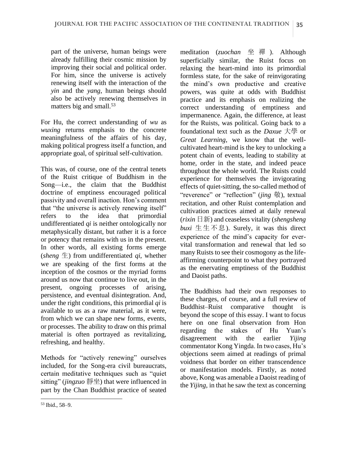part of the universe, human beings were already fulfilling their cosmic mission by improving their social and political order. For him, since the universe is actively renewing itself with the interaction of the *yin* and the *yang*, human beings should also be actively renewing themselves in matters big and small.<sup>53</sup>

For Hu, the correct understanding of *wu* as *wuxing* returns emphasis to the concrete meaningfulness of the affairs of his day, making political progress itself a function, and appropriate goal, of spiritual self-cultivation.

This was, of course, one of the central tenets of the Ruist critique of Buddhism in the Song—i.e., the claim that the Buddhist doctrine of emptiness encouraged political passivity and overall inaction. Hon's comment that "the universe is actively renewing itself" refers to the idea that primordial undifferentiated *qi* is neither ontologically nor metaphysically distant, but rather it is a force or potency that remains with us in the present. In other words, all existing forms emerge (*sheng*  $\pm$ ) from undifferentiated *qi*, whether we are speaking of the first forms at the inception of the cosmos or the myriad forms around us now that continue to live out, in the present, ongoing processes of arising, persistence, and eventual disintegration. And, under the right conditions, this primordial *qi* is available to us as a raw material, as it were, from which we can shape new forms, events, or processes. The ability to draw on this primal material is often portrayed as revitalizing, refreshing, and healthy.

Methods for "actively renewing" ourselves included, for the Song-era civil bureaucrats, certain meditative techniques such as "quiet sitting" (*jingzuo* 靜坐) that were influenced in part by the Chan Buddhist practice of seated

meditation (*zuochan* 坐 禪 ). Although superficially similar, the Ruist focus on relaxing the heart-mind into its primordial formless state, for the sake of reinvigorating the mind's own productive and creative powers, was quite at odds with Buddhist practice and its emphasis on realizing the correct understanding of emptiness and impermanence. Again, the difference, at least for the Ruists, was political. Going back to a foundational text such as the *Daxue* 大學 or *Great Learning*, we know that the wellcultivated heart-mind is the key to unlocking a potent chain of events, leading to stability at home, order in the state, and indeed peace throughout the whole world. The Ruists could experience for themselves the invigorating effects of quiet-sitting, the so-called method of "reverence" or "reflection" (*jing* 敬), textual recitation, and other Ruist contemplation and cultivation practices aimed at daily renewal (*rixin* 日新) and ceaseless vitality (*shengsheng*   $buxi \nightharpoonup \pm \pm \sqrt{\pi} \cdot \mathbb{R}$ . Surely, it was this direct experience of the mind's capacity for evervital transformation and renewal that led so many Ruists to see their cosmogony as the lifeaffirming counterpoint to what they portrayed as the enervating emptiness of the Buddhist and Daoist paths.

The Buddhists had their own responses to these charges, of course, and a full review of Buddhist–Ruist comparative thought beyond the scope of this essay. I want to focus here on one final observation from Hon regarding the stakes of Hu Yuan's disagreement with the earlier *Yijing* commentator Kong Yingda. In two cases, Hu's objections seem aimed at readings of primal voidness that border on either transcendence or manifestation models. Firstly, as noted above, Kong was amenable a Daoist reading of the *Yijing*, in that he saw the text as concerning

<sup>53</sup> Ibid., 58–9.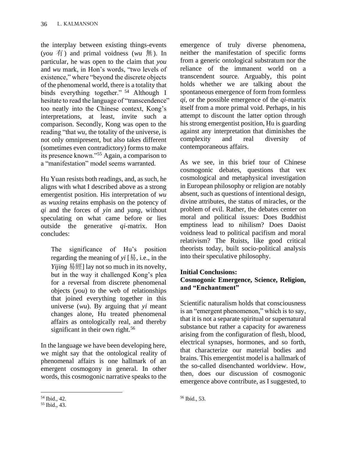the interplay between existing things-events  $(vou \notin)$  and primal voidness (*wu*  $\#$ ). In particular, he was open to the claim that *you* and *wu* mark, in Hon's words, "two levels of existence," where "beyond the discrete objects of the phenomenal world, there is a totality that binds everything together." <sup>54</sup> Although I hesitate to read the language of "transcendence" too neatly into the Chinese context, Kong's interpretations, at least, invite such a comparison. Secondly, Kong was open to the reading "that *wu*, the totality of the universe, is not only omnipresent, but also takes different (sometimes even contradictory) forms to make its presence known."<sup>55</sup> Again, a comparison to a "manifestation" model seems warranted.

Hu Yuan resists both readings, and, as such, he aligns with what I described above as a strong emergentist position. His interpretation of *wu* as *wuxing* retains emphasis on the potency of *qi* and the forces of *yin* and *yang*, without speculating on what came before or lies outside the generative *qi*-matrix. Hon concludes:

The significance of Hu's position regarding the meaning of  $yi$  [易, i.e., in the *Yijing* 易經] lay not so much in its novelty, but in the way it challenged Kong's plea for a reversal from discrete phenomenal objects (*you*) to the web of relationships that joined everything together in this universe (*wu*). By arguing that *yi* meant changes alone, Hu treated phenomenal affairs as ontologically real, and thereby significant in their own right.<sup>56</sup>

In the language we have been developing here, we might say that the ontological reality of phenomenal affairs is one hallmark of an emergent cosmogony in general. In other words, this cosmogonic narrative speaks to the emergence of truly diverse phenomena, neither the manifestation of specific forms from a generic ontological substratum nor the reliance of the immanent world on a transcendent source. Arguably, this point holds whether we are talking about the spontaneous emergence of form from formless *qi*, or the possible emergence of the *qi*-matrix itself from a more primal void. Perhaps, in his attempt to discount the latter option through his strong emergentist position, Hu is guarding against any interpretation that diminishes the complexity and real diversity of contemporaneous affairs.

As we see, in this brief tour of Chinese cosmogonic debates, questions that vex cosmological and metaphysical investigation in European philosophy or religion are notably absent, such as questions of intentional design, divine attributes, the status of miracles, or the problem of evil. Rather, the debates center on moral and political issues: Does Buddhist emptiness lead to nihilism? Does Daoist voidness lead to political pacifism and moral relativism? The Ruists, like good critical theorists today, built socio-political analysis into their speculative philosophy.

## **Initial Conclusions: Cosmogonic Emergence, Science, Religion, and "Enchantment"**

Scientific naturalism holds that consciousness is an "emergent phenomenon," which is to say, that it is not a separate spiritual or supernatural substance but rather a capacity for awareness arising from the configuration of flesh, blood, electrical synapses, hormones, and so forth, that characterize our material bodies and brains. This emergentist model is a hallmark of the so-called disenchanted worldview. How, then, does our discussion of cosmogonic emergence above contribute, as I suggested, to

<sup>54</sup> Ibid., 42.

<sup>55</sup> Ibid., 43.

<sup>56</sup> Ibid., 53.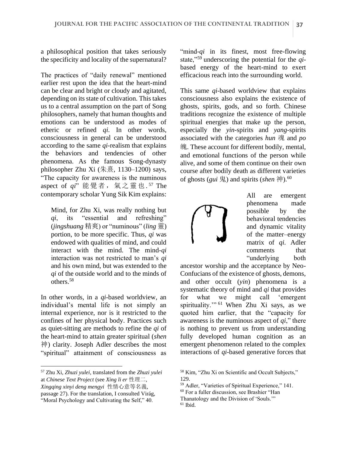a philosophical position that takes seriously the specificity and locality of the supernatural?

The practices of "daily renewal" mentioned earlier rest upon the idea that the heart-mind can be clear and bright or cloudy and agitated, depending on its state of cultivation. This takes us to a central assumption on the part of Song philosophers, namely that human thoughts and emotions can be understood as modes of etheric or refined *qi*. In other words, consciousness in general can be understood according to the same *qi*-realism that explains the behaviors and tendencies of other phenomena. As the famous Song-dynasty philosopher Zhu Xi (朱熹, 1130–1200) says, "The capacity for awareness is the numinous aspect of qi"能覺者, 氣之靈也.<sup>57</sup> The contemporary scholar Yung Sik Kim explains:

Mind, for Zhu Xi, was really nothing but *qi*, its "essential and refreshing" (*jingshuang* 精爽) or "numinous" (*ling* 靈) portion, to be more specific. Thus, *qi* was endowed with qualities of mind, and could interact with the mind. The mind-*qi* interaction was not restricted to man's *qi* and his own mind, but was extended to the *qi* of the outside world and to the minds of others.<sup>58</sup>

In other words, in a *qi*-based worldview, an individual's mental life is not simply an internal experience, nor is it restricted to the confines of her physical body. Practices such as quiet-sitting are methods to refine the *qi* of the heart-mind to attain greater spiritual (*shen* 神) clarity. Joseph Adler describes the most "spiritual" attainment of consciousness as

"mind-*qi* in its finest, most free-flowing state,"<sup>59</sup> underscoring the potential for the *qi*based energy of the heart-mind to exert efficacious reach into the surrounding world.

This same *qi*-based worldview that explains consciousness also explains the existence of ghosts, spirits, gods, and so forth. Chinese traditions recognize the existence of multiple spiritual energies that make up the person, especially the *yin*-spirits and *yang*-spirits associated with the categories *hun* 魂 and *po* 魄. These account for different bodily, mental, and emotional functions of the person while alive, and some of them continue on their own course after bodily death as different varieties of ghosts (*gui* 鬼) and spirits (*shen* 神).<sup>60</sup>



All are emergent phenomena made possible by the behavioral tendencies and dynamic vitality of the matter–energy matrix of *qi*. Adler comments that "underlying both

ancestor worship and the acceptance by Neo-Confucians of the existence of ghosts, demons, and other occult (*yin*) phenomena is a systematic theory of mind and *qi* that provides for what we might call 'emergent spirituality."<sup>61</sup> When Zhu Xi says, as we quoted him earlier, that the "capacity for awareness is the numinous aspect of *qi*," there is nothing to prevent us from understanding fully developed human cognition as an emergent phenomenon related to the complex interactions of *qi*-based generative forces that

<sup>57</sup> Zhu Xi, *Zhuzi yulei*, translated from the *Zhuzi yulei* at *Chinese Text Project* (see *Xing li er* 性理二, *Xingqing xinyi deng mengyi* 性情心意等名義, passage 27). For the translation, I consulted Virág, "Moral Psychology and Cultivating the Self," 40.

<sup>58</sup> Kim, "Zhu Xi on Scientific and Occult Subjects," 129.

<sup>59</sup> Adler, "Varieties of Spiritual Experience," 141.

<sup>60</sup> For a fuller discussion, see Brashier "Han

Thanatology and the Division of 'Souls.'"

 $61$  Ibid.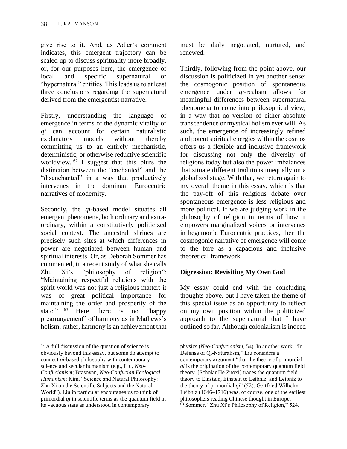give rise to it. And, as Adler's comment indicates, this emergent trajectory can be scaled up to discuss spirituality more broadly, or, for our purposes here, the emergence of local and specific supernatural or "hypernatural" entities. This leads us to at least three conclusions regarding the supernatural derived from the emergentist narrative.

Firstly, understanding the language of emergence in terms of the dynamic vitality of *qi* can account for certain naturalistic explanatory models without thereby committing us to an entirely mechanistic, deterministic, or otherwise reductive scientific worldview. <sup>62</sup> I suggest that this blurs the distinction between the "enchanted" and the "disenchanted" in a way that productively intervenes in the dominant Eurocentric narratives of modernity.

Secondly, the *qi*-based model situates all emergent phenomena, both ordinary and extraordinary, within a constitutively politicized social context. The ancestral shrines are precisely such sites at which differences in power are negotiated between human and spiritual interests. Or, as Deborah Sommer has commented, in a recent study of what she calls Zhu Xi's "philosophy of religion": "Maintaining respectful relations with the spirit world was not just a religious matter: it was of great political importance for maintaining the order and prosperity of the state." <sup>63</sup> Here there is no "happy prearrangement" of harmony as in Mathews's holism; rather, harmony is an achievement that

must be daily negotiated, nurtured, and renewed.

Thirdly, following from the point above, our discussion is politicized in yet another sense: the cosmogonic position of spontaneous emergence under *qi*-realism allows for meaningful differences between supernatural phenomena to come into philosophical view, in a way that no version of either absolute transcendence or mystical holism ever will. As such, the emergence of increasingly refined and potent spiritual energies within the cosmos offers us a flexible and inclusive framework for discussing not only the diversity of religions today but also the power imbalances that situate different traditions unequally on a globalized stage. With that, we return again to my overall theme in this essay, which is that the pay-off of this religious debate over spontaneous emergence is less religious and more political. If we are judging work in the philosophy of religion in terms of how it empowers marginalized voices or intervenes in hegemonic Eurocentric practices, then the cosmogonic narrative of emergence will come to the fore as a capacious and inclusive theoretical framework.

# **Digression: Revisiting My Own God**

My essay could end with the concluding thoughts above, but I have taken the theme of this special issue as an opportunity to reflect on my own position within the politicized approach to the supernatural that I have outlined so far. Although colonialism is indeed

 $62$  A full discussion of the question of science is obviously beyond this essay, but some do attempt to connect *qi*-based philosophy with contemporary science and secular humanism (e.g., Liu, *Neo-Confucianism*; Brasovan, *Neo-Confucian Ecological Humanism*; Kim, "Science and Natural Philosophy: Zhu Xi on the Scientific Subjects and the Natural World"). Liu in particular encourages us to think of primordial *qi* in scientific terms as the quantum field in its vacuous state as understood in contemporary

physics (*Neo-Confucianism*, 54). In another work, "In Defense of Qi-Naturalism," Liu considers a contemporary argument "that the theory of primordial *qi* is the origination of the contemporary quantum field theory. [Scholar He Zuoxi] traces the quantum field theory to Einstein, Einstein to Leibniz, and Leibniz to the theory of primordial *qi*" (52). Gottfried Wilhelm Leibniz (1646–1716) was, of course, one of the earliest philosophers reading Chinese thought in Europe. <sup>63</sup> Sommer, "Zhu Xi's Philosophy of Religion," 524.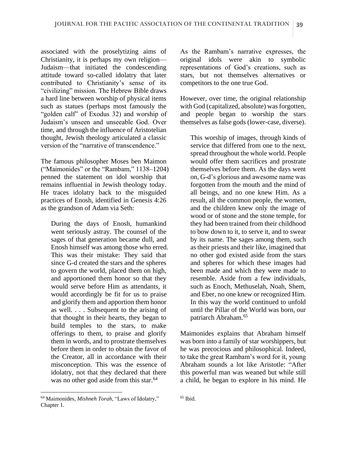associated with the proselytizing aims of Christianity, it is perhaps my own religion— Judaism—that initiated the condescending attitude toward so-called idolatry that later contributed to Christianity's sense of its "civilizing" mission. The Hebrew Bible draws a hard line between worship of physical items such as statues (perhaps most famously the "golden calf" of Exodus 32) and worship of Judaism's unseen and unseeable God. Over time, and through the influence of Aristotelian thought, Jewish theology articulated a classic version of the "narrative of transcendence."

The famous philosopher Moses ben Maimon ("Maimonides" or the "Rambam," 1138–1204) penned the statement on idol worship that remains influential in Jewish theology today. He traces idolatry back to the misguided practices of Enosh, identified in Genesis 4:26 as the grandson of Adam via Seth:

During the days of Enosh, humankind went seriously astray. The counsel of the sages of that generation became dull, and Enosh himself was among those who erred. This was their mistake: They said that since G-d created the stars and the spheres to govern the world, placed them on high, and apportioned them honor so that they would serve before Him as attendants, it would accordingly be fit for us to praise and glorify them and apportion them honor as well. . . . Subsequent to the arising of that thought in their hearts, they began to build temples to the stars, to make offerings to them, to praise and glorify them in words, and to prostrate themselves before them in order to obtain the favor of the Creator, all in accordance with their misconception. This was the essence of idolatry, not that they declared that there was no other god aside from this star.<sup>64</sup>

As the Rambam's narrative expresses, the original idols were akin to symbolic representations of God's creations, such as stars, but not themselves alternatives or competitors to the one true God.

However, over time, the original relationship with God (capitalized, absolute) was forgotten, and people began to worship the stars themselves as false gods (lower-case, diverse).

This worship of images, through kinds of service that differed from one to the next. spread throughout the whole world. People would offer them sacrifices and prostrate themselves before them. As the days went on, G-d's glorious and awesome name was forgotten from the mouth and the mind of all beings, and no one knew Him. As a result, all the common people, the women, and the children knew only the image of wood or of stone and the stone temple, for they had been trained from their childhood to bow down to it, to serve it, and to swear by its name. The sages among them, such as their priests and their like, imagined that no other god existed aside from the stars and spheres for which these images had been made and which they were made to resemble. Aside from a few individuals, such as Enoch, Methuselah, Noah, Shem, and Eber, no one knew or recognized Him. In this way the world continued to unfold until the Pillar of the World was born, our patriarch Abraham.<sup>65</sup>

Maimonides explains that Abraham himself was born into a family of star worshippers, but he was precocious and philosophical. Indeed, to take the great Rambam's word for it, young Abraham sounds a lot like Aristotle: "After this powerful man was weaned but while still a child, he began to explore in his mind. He

<sup>64</sup> Maimonides, *Mishneh Torah*, "Laws of Idolatry," Chapter 1.

 $65$  Ibid.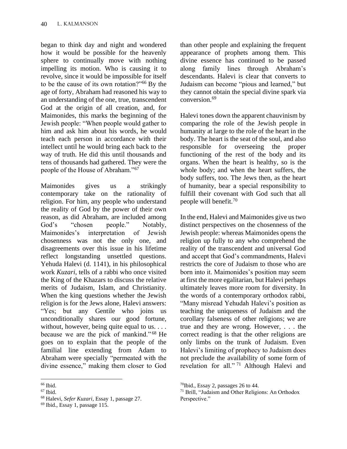began to think day and night and wondered how it would be possible for the heavenly sphere to continually move with nothing impelling its motion. Who is causing it to revolve, since it would be impossible for itself to be the cause of its own rotation?"<sup>66</sup> By the age of forty, Abraham had reasoned his way to an understanding of the one, true, transcendent God at the origin of all creation, and, for Maimonides, this marks the beginning of the Jewish people: "When people would gather to him and ask him about his words, he would teach each person in accordance with their intellect until he would bring each back to the way of truth. He did this until thousands and tens of thousands had gathered. They were the people of the House of Abraham."<sup>67</sup>

Maimonides gives us a strikingly contemporary take on the rationality of religion. For him, any people who understand the reality of God by the power of their own reason, as did Abraham, are included among God's "chosen people." Notably, Maimonides's interpretation of Jewish chosenness was not the only one, and disagreements over this issue in his lifetime reflect longstanding unsettled questions. Yehuda Halevi (d. 1141), in his philosophical work *Kuzari*, tells of a rabbi who once visited the King of the Khazars to discuss the relative merits of Judaism, Islam, and Christianity. When the king questions whether the Jewish religion is for the Jews alone, Halevi answers: "Yes; but any Gentile who joins us unconditionally shares our good fortune, without, however, being quite equal to us. . . . because we are the pick of mankind." <sup>68</sup> He goes on to explain that the people of the familial line extending from Adam to Abraham were specially "permeated with the divine essence," making them closer to God than other people and explaining the frequent appearance of prophets among them. This divine essence has continued to be passed along family lines through Abraham's descendants. Halevi is clear that converts to Judaism can become "pious and learned," but they cannot obtain the special divine spark via conversion.<sup>69</sup>

Halevi tones down the apparent chauvinism by comparing the role of the Jewish people in humanity at large to the role of the heart in the body. The heart is the seat of the soul, and also responsible for overseeing the proper functioning of the rest of the body and its organs. When the heart is healthy, so is the whole body; and when the heart suffers, the body suffers, too. The Jews then, as the heart of humanity, bear a special responsibility to fulfill their covenant with God such that all people will benefit.<sup>70</sup>

In the end, Halevi and Maimonides give us two distinct perspectives on the chosenness of the Jewish people: whereas Maimonides opens the religion up fully to any who comprehend the reality of the transcendent and universal God and accept that God's commandments, Halevi restricts the core of Judaism to those who are born into it. Maimonides's position may seem at first the more egalitarian, but Halevi perhaps ultimately leaves more room for diversity. In the words of a contemporary orthodox rabbi, "Many misread Yehudah Halevi's position as teaching the uniqueness of Judaism and the corollary falseness of other religions; we are true and they are wrong. However, . . . the correct reading is that the other religions are only limbs on the trunk of Judaism. Even Halevi's limiting of prophecy to Judaism does not preclude the availability of some form of revelation for all." <sup>71</sup> Although Halevi and

 $66$  Ibid.

<sup>67</sup> Ibid.

<sup>68</sup> Halevi, *Sefer Kuzari*, Essay 1, passage 27.

 $69$  Ibid., Essay 1, passage 115.

 $70$ Ibid., Essay 2, passages 26 to 44.

<sup>71</sup> Brill, "Judaism and Other Religions: An Orthodox Perspective."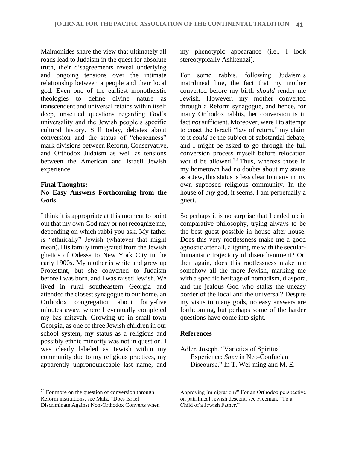Maimonides share the view that ultimately all roads lead to Judaism in the quest for absolute truth, their disagreements reveal underlying and ongoing tensions over the intimate relationship between a people and their local god. Even one of the earliest monotheistic theologies to define divine nature as transcendent and universal retains within itself deep, unsettled questions regarding God's universality and the Jewish people's specific cultural history. Still today, debates about conversion and the status of "chosenness" mark divisions between Reform, Conservative, and Orthodox Judaism as well as tensions between the American and Israeli Jewish experience.

#### **Final Thoughts:**

## **No Easy Answers Forthcoming from the Gods**

I think it is appropriate at this moment to point out that my own God may or not recognize me, depending on which rabbi you ask. My father is "ethnically" Jewish (whatever that might mean). His family immigrated from the Jewish ghettos of Odessa to New York City in the early 1900s. My mother is white and grew up Protestant, but she converted to Judaism before I was born, and I was raised Jewish. We lived in rural southeastern Georgia and attended the closest synagogue to our home, an Orthodox congregation about forty-five minutes away, where I eventually completed my bas mitzvah. Growing up in small-town Georgia, as one of three Jewish children in our school system, my status as a religious and possibly ethnic minority was not in question. I was clearly labeled as Jewish within my community due to my religious practices, my apparently unpronounceable last name, and

<sup>72</sup> For more on the question of conversion through Reform institutions, see Malz, "Does Israel Discriminate Against Non-Orthodox Converts when my phenotypic appearance (i.e., I look stereotypically Ashkenazi).

For some rabbis, following Judaism's matrilineal line, the fact that my mother converted before my birth *should* render me Jewish. However, my mother converted through a Reform synagogue, and hence, for many Orthodox rabbis, her conversion is in fact *not* sufficient. Moreover, were I to attempt to enact the Israeli "law of return," my claim to it *could* be the subject of substantial debate, and I might be asked to go through the full conversion process myself before relocation would be allowed.<sup>72</sup> Thus, whereas those in my hometown had no doubts about my status as a Jew, this status is less clear to many in my own supposed religious community. In the house of *any* god, it seems, I am perpetually a guest.

So perhaps it is no surprise that I ended up in comparative philosophy, trying always to be the best guest possible in house after house. Does this very rootlessness make me a good agnostic after all, aligning me with the secularhumanistic trajectory of disenchantment? Or, then again, does this rootlessness make me somehow all the more Jewish, marking me with a specific heritage of nomadism, diaspora, and the jealous God who stalks the uneasy border of the local and the universal? Despite my visits to many gods, no easy answers are forthcoming, but perhaps some of the harder questions have come into sight.

#### **References**

Adler, Joseph. "Varieties of Spiritual Experience: *Shen* in Neo-Confucian Discourse." In T. Wei-ming and M. E.

Approving Immigration?" For an Orthodox perspective on patrilineal Jewish descent, see Freeman, "To a Child of a Jewish Father."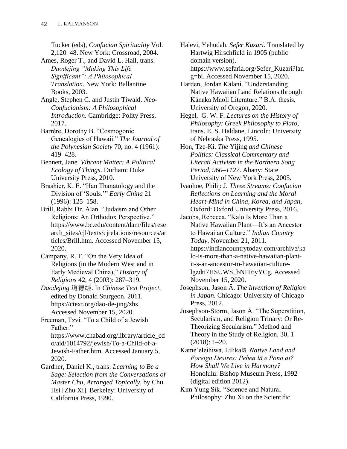Tucker (eds), *Confucian Spirituality* Vol. 2,120–48. New York: Crossroad, 2004.

Ames, Roger T., and David L. Hall, trans. *Daodejing "Making This Life Significant": A Philosophical Translation*. New York: Ballantine Books, 2003.

Angle, Stephen C. and Justin Tiwald. *Neo-Confucianism: A Philosophical Introduction*. Cambridge: Polity Press, 2017.

Barrère, Dorothy B. "Cosmogonic Genealogies of Hawaii." *The Journal of the Polynesian Society* 70, no. 4 (1961): 419–428.

Bennett, Jane. *Vibrant Matter: A Political Ecology of Things*. Durham: Duke University Press, 2010.

Brashier, K. E. "Han Thanatology and the Division of 'Souls.'" *Early China* 21 (1996): 125–158.

Brill, Rabbi Dr. Alan. "Judaism and Other Religions: An Orthodox Perspective." https://www.bc.edu/content/dam/files/rese arch\_sites/cjl/texts/cjrelations/resources/ar ticles/Brill.htm. Accessed November 15, 2020.

Campany, R. F. "On the Very Idea of Religions (in the Modern West and in Early Medieval China)," *History of Religions* 42, 4 (2003): 287–319.

*Daodejing* 道德經. In *Chinese Text Project*, edited by Donald Sturgeon. 2011. https://ctext.org/dao-de-jing/zhs. Accessed November 15, 2020.

Freeman, Tzvi. "To a Child of a Jewish Father."

https://www.chabad.org/library/article\_cd o/aid/1014792/jewish/To-a-Child-of-a-Jewish-Father.htm. Accessed January 5, 2020.

Gardner, Daniel K., trans. *Learning to Be a Sage: Selection from the Conversations of Master Chu, Arranged Topically*, by Chu Hsi [Zhu Xi]. Berkeley: University of California Press, 1990.

Halevi, Yehudah. *Sefer Kuzari*. Translated by Hartwig Hirschfield in 1905 (public domain version). https://www.sefaria.org/Sefer\_Kuzari?lan g=bi. Accessed November 15, 2020.

Harden, Jordan Kalani. "Understanding Native Hawaiian Land Relations through Kānaka Maoli Literature." B.A. thesis, University of Oregon, 2020.

Hegel, G. W. F. *Lectures on the History of Philosophy: Greek Philosophy to Plato*, trans. E. S. Haldane, Lincoln: University of Nebraska Press, 1995.

Hon, Tze-Ki. *The* Yijing *and Chinese Politics: Classical Commentary and Literati Activism in the Northern Song Period, 960–1127*. Abany: State University of New York Press, 2005.

Ivanhoe, Philip J. *Three Streams: Confucian Reflections on Learning and the Moral Heart-Mind in China, Korea, and Japan*, Oxford: Oxford University Press, 2016.

Jacobs, Rebecca. "Kalo Is More Than a Native Hawaiian Plant—It's an Ancestor to Hawaiian Culture." *Indian Country Today*. November 21, 2011. https://indiancountrytoday.com/archive/ka lo-is-more-than-a-native-hawaiian-plantit-s-an-ancestor-to-hawaiian-culturelgzdti7HSUWS\_bNIT6yYCg. Accessed November 15, 2020.

Josephson, Jason Ā. *The Invention of Religion in Japan*. Chicago: University of Chicago Press, 2012.

Josephson-Storm, Jason Ā. "The Superstition, Secularism, and Religion Trinary: Or Re-Theorizing Secularism." Method and Theory in the Study of Religion, 30, 1 (2018): 1–20.

Kame'eleihiwa, Lilikalā. *Native Land and Foreign Desires: Pehea lā e Pono ai? How Shall We Live in Harmony?* Honolulu: Bishop Museum Press, 1992 (digital edition 2012).

Kim Yung Sik. "Science and Natural Philosophy: Zhu Xi on the Scientific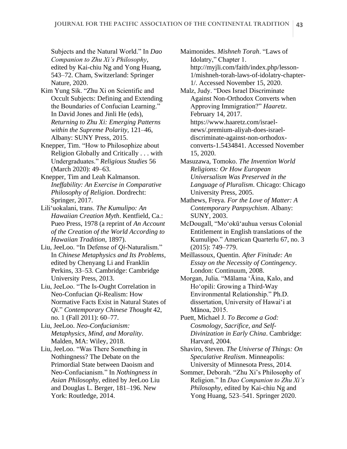Subjects and the Natural World." In *Dao Companion to Zhu Xi's Philosophy*, edited by Kai-chiu Ng and Yong Huang, 543–72. Cham, Switzerland: Springer Nature, 2020.

- Kim Yung Sik. "Zhu Xi on Scientific and Occult Subjects: Defining and Extending the Boundaries of Confucian Learning." In David Jones and Jinli He (eds), *Returning to Zhu Xi: Emerging Patterns within the Supreme Polarity,* 121–46, Albany: SUNY Press, 2015.
- Knepper, Tim. "How to Philosophize about Religion Globally and Critically . . . with Undergraduates." *Religious Studies* 56 (March 2020): 49–63.
- Knepper, Tim and Leah Kalmanson. *Ineffability: An Exercise in Comparative Philosophy of Religion*. Dordrecht: Springer, 2017.
- Lili'uokalani, trans. *The Kumulipo: An Hawaiian Creation Myth*. Kentfield, Ca.: Pueo Press, 1978 (a reprint of *An Account of the Creation of the World According to Hawaiian Tradition*, 1897).
- Liu, JeeLoo. "In Defense of *Qi*-Naturalism." In *Chinese Metaphysics and Its Problems*, edited by Chenyang Li and Franklin Perkins, 33–53. Cambridge: Cambridge University Press, 2013.
- Liu, JeeLoo. "The Is-Ought Correlation in Neo-Confucian *Qi*-Realism: How Normative Facts Exist in Natural States of *Qi*." *Contemporary Chinese Thought* 42, no. 1 (Fall 2011): 60–77.
- Liu, JeeLoo. *Neo-Confucianism: Metaphysics, Mind, and Morality*. Malden, MA: Wiley, 2018.
- Liu, JeeLoo. "Was There Something in Nothingness? The Debate on the Primordial State between Daoism and Neo-Confucianism." In *Nothingness in Asian Philosophy*, edited by JeeLoo Liu and Douglas L. Berger, 181–196. New York: Routledge, 2014.

Maimonides. *Mishneh Torah*. "Laws of Idolatry," Chapter 1. http://myjli.com/faith/index.php/lesson-1/mishneh-torah-laws-of-idolatry-chapter-1/. Accessed November 15, 2020.

- Malz, Judy. "Does Israel Discriminate Against Non-Orthodox Converts when Approving Immigration?" *Haaretz*. February 14, 2017. https://www.haaretz.com/israelnews/.premium-aliyah-does-israeldiscriminate-against-non-orthodoxconverts-1.5434841. Accessed November 15, 2020.
- Masuzawa, Tomoko. *The Invention World Religions: Or How European Universalism Was Preserved in the Language of Pluralism*. Chicago: Chicago University Press, 2005.
- Mathews, Freya. *For the Love of Matter: A Contemporary Panpsychism*. Albany: SUNY, 2003.
- McDougall, "Mo'okū'auhua versus Colonial Entitlement in English translations of the Kumulipo." American Quarterlu 67, no. 3 (2015): 749–779.
- Meillassoux, Quentin. *After Finitude: An Essay on the Necessity of Contingency*. London: Continuum, 2008.
- Morgan, Julia. "Mālama 'Āina, Kalo, and Ho'opili: Growing a Third-Way Environmental Relationship." Ph.D. dissertation, University of Hawai'i at Mānoa, 2015.
- Puett, Michael J. *To Become a God: Cosmology, Sacrifice, and Self-Divinization in Early China*. Cambridge: Harvard, 2004.
- Shaviro, Steven. *The Universe of Things: On Speculative Realism*. Minneapolis: University of Minnesota Press, 2014.
- Sommer, Deborah. "Zhu Xi's Philosophy of Religion." In *Dao Companion to Zhu Xi's Philosophy*, edited by Kai-chiu Ng and Yong Huang, 523–541. Springer 2020.